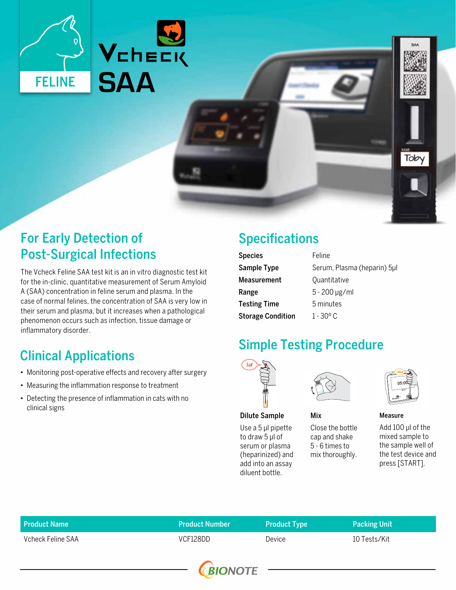



## For Early Detection of Post-Surgical Infections

The Vcheck Feline SAA test kit is an in vitro diagnostic test kit for the in-clinic, quantitative measurement of Serum Amyloid A (SAA) concentration in feline serum and plasma. In the case of normal felines, the concentration of SAA is very low in their serum and plasma, but it increases when a pathological phenomenon occurs such as infection, tissue damage or inflammatory disorder.

# Clinical Applications

- Monitoring post-operative effects and recovery after surgery
- Measuring the inflammation response to treatment
- Detecting the presence of inflammation in cats with no clinical signs

# Specifications

| <b>Species</b>           | Feline                      |  |
|--------------------------|-----------------------------|--|
| Sample Type              | Serum, Plasma (heparin) 5µl |  |
| Measurement              | Quantitative                |  |
| Range                    | $5 - 200 \mu g/ml$          |  |
| <b>Testing Time</b>      | 5 minutes                   |  |
| <b>Storage Condition</b> | 1 - 30 <sup>o</sup> C       |  |

## Simple Testing Procedure

Mix



Dilute Sample

Use a 5 μl pipette to draw 5 μl of serum or plasma (heparinized) and add into an assay diluent bottle.



Close the bottle cap and shake 5 - 6 times to mix thoroughly.

Toby

Measure

Add 100 μl of the mixed sample to the sample well of the test device and press [START].

| <b>Product Name</b> | <b>Product Number</b> | <b>Product Type</b> | <b>Packing Unit</b> |
|---------------------|-----------------------|---------------------|---------------------|
| Vcheck Feline SAA   | VCF128DD              | Device              | 10 Tests/Kit        |
|                     |                       |                     |                     |